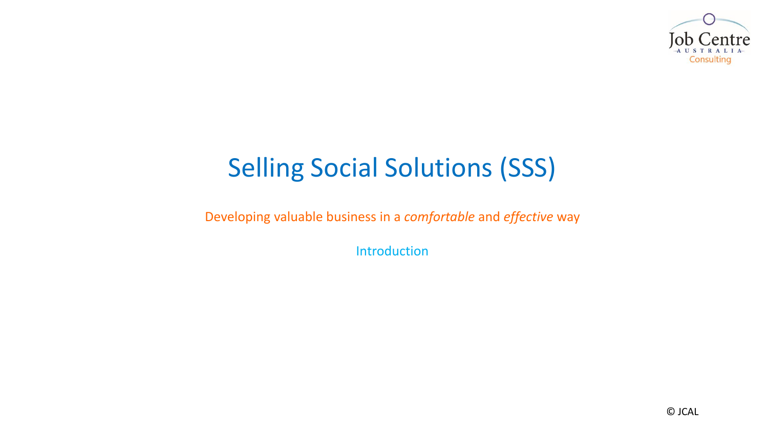

# Selling Social Solutions (SSS)

Developing valuable business in a *comfortable* and *effective* way

Introduction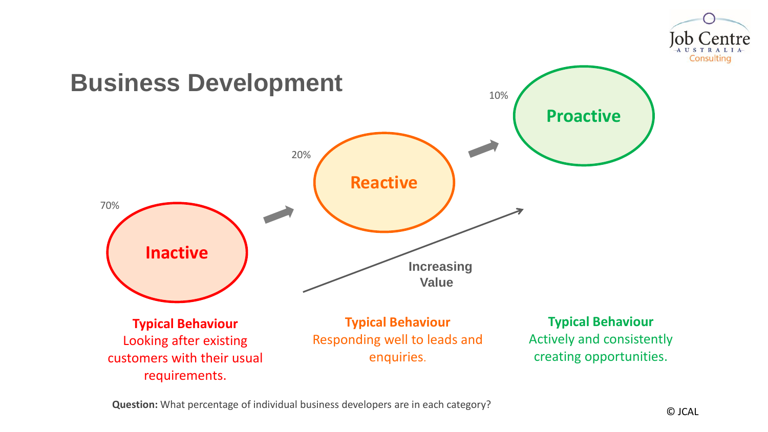



**Question:** What percentage of individual business developers are in each category?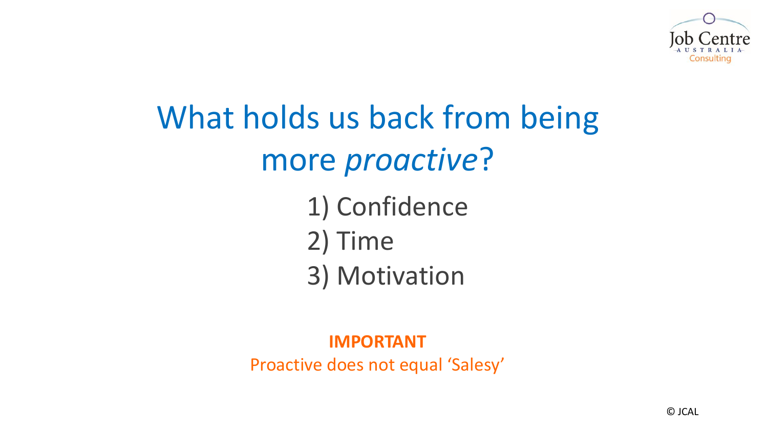

# What holds us back from being more *proactive*?

1) Confidence 2) Time 3) Motivation

#### **IMPORTANT**

Proactive does not equal 'Salesy'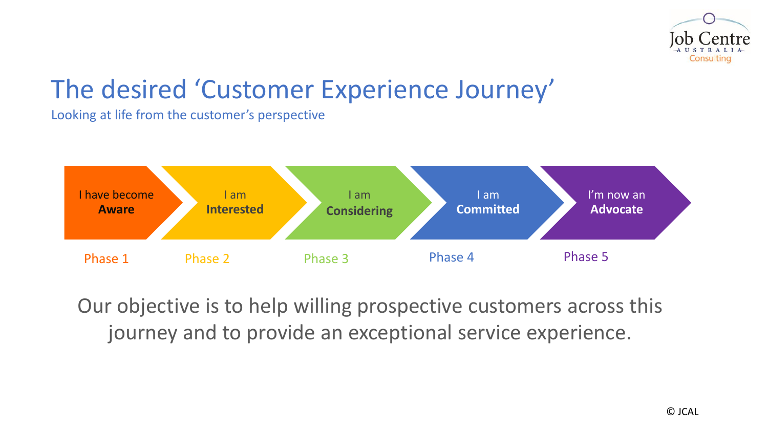

### The desired 'Customer Experience Journey'

Looking at life from the customer's perspective



Our objective is to help willing prospective customers across this journey and to provide an exceptional service experience.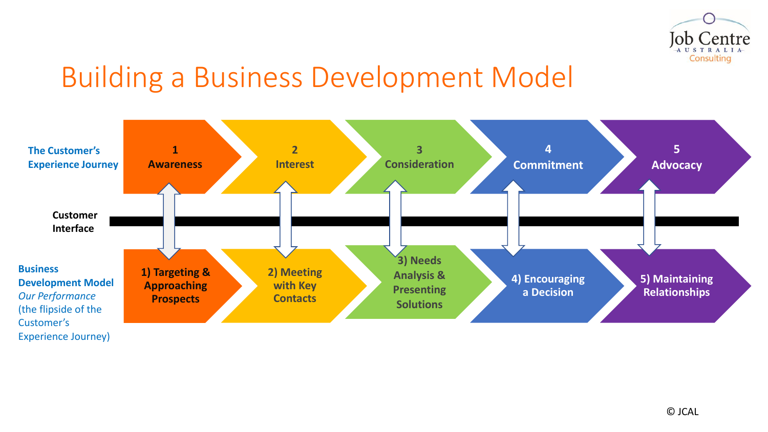

# Building a Business Development Model

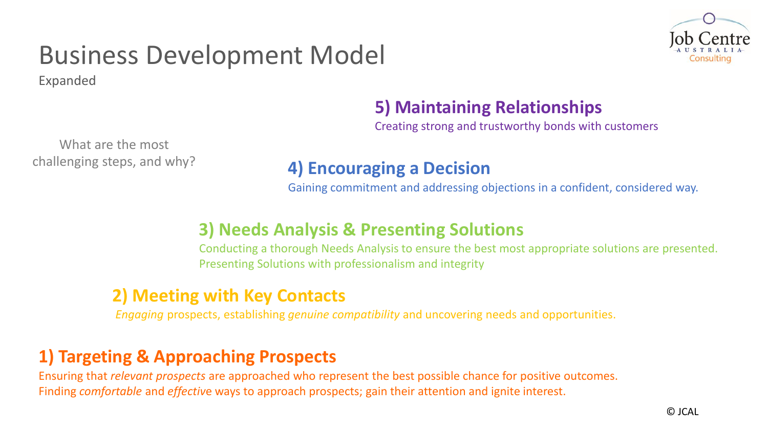# Business Development Model

Expanded



#### **5) Maintaining Relationships**

Creating strong and trustworthy bonds with customers

What are the most challenging steps, and why?

#### **4) Encouraging a Decision**

Gaining commitment and addressing objections in a confident, considered way.

#### **3) Needs Analysis & Presenting Solutions**

Conducting a thorough Needs Analysis to ensure the best most appropriate solutions are presented. Presenting Solutions with professionalism and integrity

#### **2) Meeting with Key Contacts**

*Engaging* prospects, establishing *genuine compatibility* and uncovering needs and opportunities.

#### **1) Targeting & Approaching Prospects**

Ensuring that *relevant prospects* are approached who represent the best possible chance for positive outcomes. Finding *comfortable* and *effectiv*e ways to approach prospects; gain their attention and ignite interest.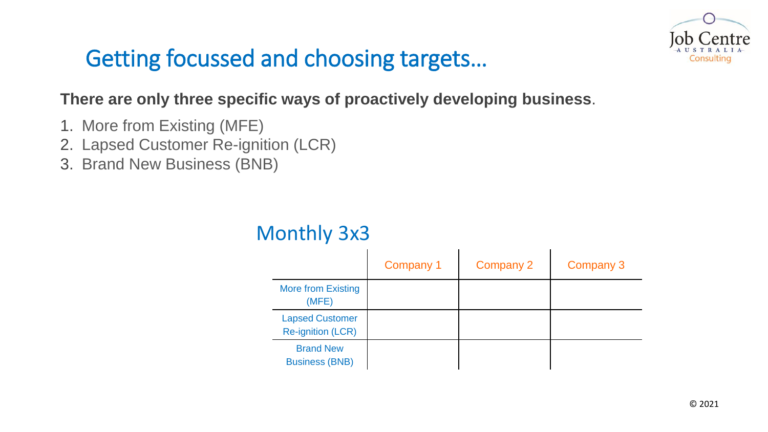

### Getting focussed and choosing targets…

#### **There are only three specific ways of proactively developing business**.

- 1. More from Existing (MFE)
- 2. Lapsed Customer Re-ignition (LCR)
- 3. Brand New Business (BNB)

|                                                    | Company 1 | Company 2 | Company 3 |
|----------------------------------------------------|-----------|-----------|-----------|
| <b>More from Existing</b><br>(MFE)                 |           |           |           |
| <b>Lapsed Customer</b><br><b>Re-ignition (LCR)</b> |           |           |           |
| <b>Brand New</b><br><b>Business (BNB)</b>          |           |           |           |

#### Monthly 3x3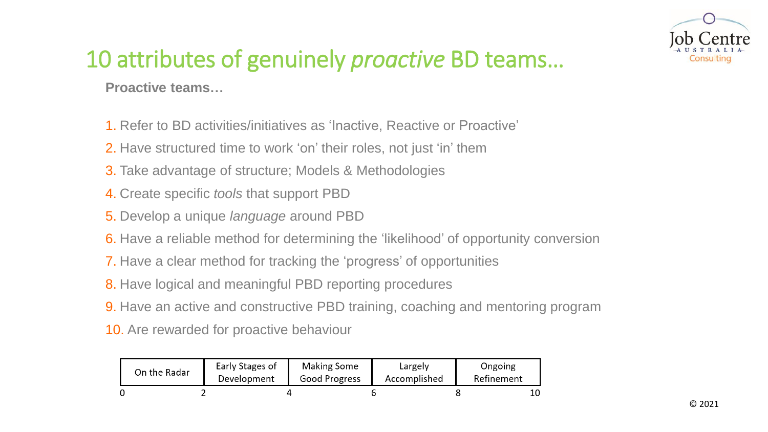

### 10 attributes of genuinely *proactive* BD teams…

**Proactive teams…**

- 1. Refer to BD activities/initiatives as 'Inactive, Reactive or Proactive'
- 2. Have structured time to work 'on' their roles, not just 'in' them
- 3. Take advantage of structure; Models & Methodologies
- 4. Create specific *tools* that support PBD
- 5. Develop a unique *language* around PBD
- 6. Have a reliable method for determining the 'likelihood' of opportunity conversion
- 7. Have a clear method for tracking the 'progress' of opportunities
- 8. Have logical and meaningful PBD reporting procedures
- 9. Have an active and constructive PBD training, coaching and mentoring program
- 10. Are rewarded for proactive behaviour

| On the Radar | Early Stages of<br>Development | Making Some<br>Good Progress | Largely<br>Accomplished | Ongoing<br>Refinement |  |
|--------------|--------------------------------|------------------------------|-------------------------|-----------------------|--|
|              |                                |                              |                         |                       |  |